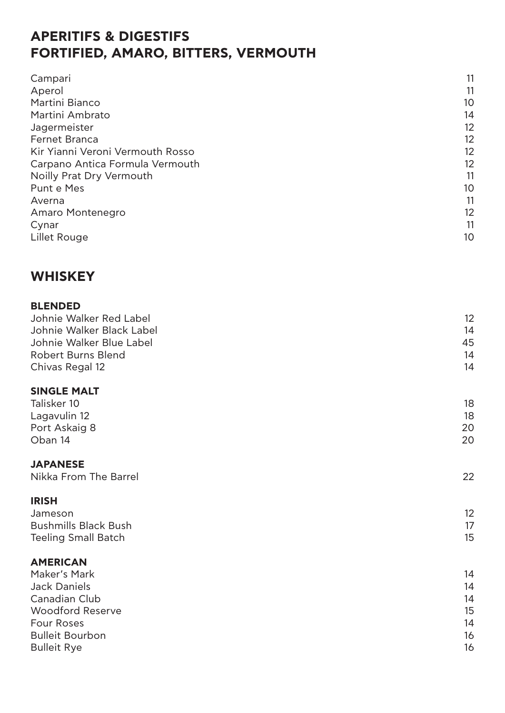## **APERITIFS & DIGESTIFS FORTIFIED, AMARO, BITTERS, VERMOUTH**

| Campari                          | 11 |
|----------------------------------|----|
| Aperol                           | 11 |
| Martini Bianco                   | 10 |
| Martini Ambrato                  | 14 |
| Jagermeister                     | 12 |
| <b>Fernet Branca</b>             | 12 |
| Kir Yianni Veroni Vermouth Rosso | 12 |
| Carpano Antica Formula Vermouth  | 12 |
| Noilly Prat Dry Vermouth         | 11 |
| Punt e Mes                       | 10 |
| Averna                           | 11 |
| Amaro Montenegro                 | 12 |
| Cynar                            | 11 |
| Lillet Rouge                     | 10 |

### **WHISKEY**

#### **BLENDED**

| Johnie Walker Red Label<br>Johnie Walker Black Label | 12<br>14 |
|------------------------------------------------------|----------|
| Johnie Walker Blue Label                             | 45       |
| <b>Robert Burns Blend</b>                            | 14       |
| Chivas Regal 12                                      | 14       |
| <b>SINGLE MALT</b>                                   |          |
| Talisker 10                                          | 18       |
| Lagavulin 12                                         | 18       |
| Port Askaig 8                                        | 20       |
| Oban 14                                              | 20       |
| <b>JAPANESE</b>                                      |          |
| Nikka From The Barrel                                | 22       |
| <b>IRISH</b>                                         |          |
| Jameson                                              | 12       |
| <b>Bushmills Black Bush</b>                          | 17       |
| <b>Teeling Small Batch</b>                           | 15       |
| <b>AMERICAN</b>                                      |          |
| Maker's Mark                                         | 14       |
| Jack Daniels                                         | 14       |
| Canadian Club                                        | 14       |
| Woodford Reserve                                     | 15       |
| <b>Four Roses</b>                                    | 14       |
| <b>Bulleit Bourbon</b>                               | 16       |
| <b>Bulleit Rye</b>                                   | 16       |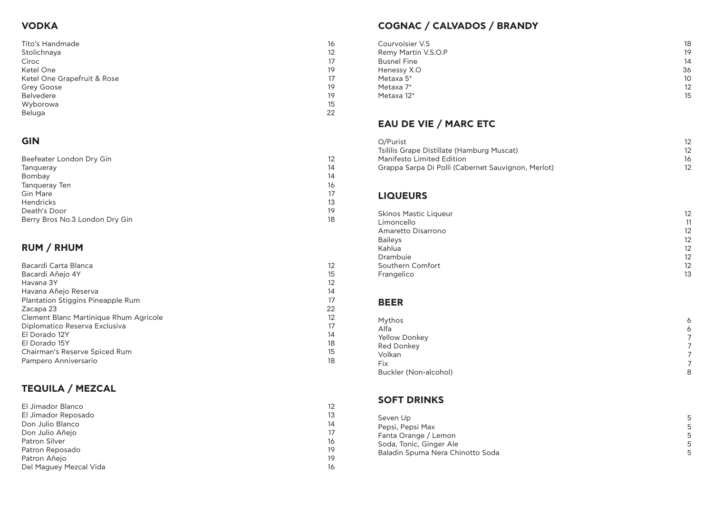## **VODKA**

Tito's Handmade 16 Stolichnaya 12 Ciroc international contract of the contract of the contract of the contract of the contract of the contract of the contract of the contract of the contract of the contract of the contract of the contract of the contract o Ketel One 19 Ketel One Grapefruit & Rose 17<br>Grey Goose 19 Grey Goose 19<br>Belvedere 19 Belvedere 19 Wyborowa 2008 and 2008 and 2008 and 2008 and 2008 and 2008 and 2008 and 2008 and 2008 and 2008 and 2008 and 20 Beluga 22

## **GIN**

| 12 <sup>°</sup> |
|-----------------|
| 14              |
| 14              |
| 16 <sup>1</sup> |
| 17              |
| 13              |
| 19              |
| 18              |
|                 |

## **RUM / RHUM**

| Bacardi Carta Blanca                   | 12              |
|----------------------------------------|-----------------|
| Bacardi Añejo 4Y                       | 15              |
| Havana 3Y                              | 12              |
| Havana Añejo Reserva                   | 14              |
| Plantation Stiggins Pineapple Rum      | 17              |
| Zacapa 23                              | 22              |
| Clement Blanc Martinique Rhum Agricole | 12 <sup>2</sup> |
| Diplomatico Reserva Exclusiva          | 17              |
| El Dorado 12Y                          | 14              |
| El Dorado 15Y                          | 18              |
| Chairman's Reserve Spiced Rum          | 15              |
| Pampero Anniversario                   | 18              |

- Tsililis Grape Distillate (Hamburg Muscat) 12
- Manifesto Limited Edition 16
- Grappa Sarpa Di Polli (Cabernet Sauvignon, Mer

## **TEQUILA / MEZCAL**

| El Jimador Blanco      | 12 |
|------------------------|----|
| El Jimador Reposado    | 13 |
| Don Julio Blanco       | 14 |
| Don Julio Añejo        | 17 |
| Patron Silver          | 16 |
| Patron Reposado        | 19 |
| Patron Añejo           | 19 |
| Del Maguey Mezcal Vida | 16 |
|                        |    |

## **COGNAC / CALVADOS / BRANDY**

- Courvoisier V.S
	- Remy Martin V.S.O.P
	- **Busnel Fine**
	- Henessy X.O
	-
	-
	-

# **EAU DE VIE / MARC ETC**

### **LIQUEURS**

| <b>Courvoisier V.S</b><br>Remy Martin V.S.O.P<br><b>Busnel Fine</b><br>Henessy X.O<br>Metaxa 5*<br>Metaxa 7*<br>Metaxa 12*                 | 18<br>19<br>14<br>36<br>10 <sup>°</sup><br>12 <sup>°</sup><br>15 |
|--------------------------------------------------------------------------------------------------------------------------------------------|------------------------------------------------------------------|
| <b>EAU DE VIE / MARC ETC</b>                                                                                                               |                                                                  |
| O/Purist<br>Tsililis Grape Distillate (Hamburg Muscat)<br>Manifesto Limited Edition<br>Grappa Sarpa Di Polli (Cabernet Sauvignon, Merlot)  | 12<br>12 <sup>°</sup><br>16<br>12                                |
| <b>LIQUEURS</b>                                                                                                                            |                                                                  |
| <b>Skinos Mastic Liqueur</b><br>Limoncello<br>Amaretto Disarrono<br><b>Baileys</b><br>Kahlua<br>Drambuie<br>Southern Comfort<br>Frangelico | 12<br>11<br>12<br>12<br>12<br>12<br>12 <sup>°</sup><br>13        |
| <b>BEER</b>                                                                                                                                |                                                                  |
| Mythos<br>Alfa<br><b>Yellow Donkey</b><br><b>Red Donkey</b><br>Volkan<br>Fix<br><b>Buckler (Non-alcohol)</b>                               | 6<br>6<br>7<br>7<br>$\overline{7}$<br>$\overline{7}$<br>8        |
| <b>SOFT DRINKS</b>                                                                                                                         |                                                                  |
| Seven Up<br>Pepsi, Pepsi Max<br>Fanta Orange / Lemon<br>Soda, Tonic, Ginger Ale<br>Baladin Spuma Nera Chinotto Soda                        | 5<br>5<br>5<br>5<br>5<br>5                                       |

| <b>Skinos Mastic Liqueu</b><br>Limoncello<br>Amaretto Disarrono<br><b>Baileys</b><br>Kahlua<br>Drambuie<br>Southern Comfort<br>Frangelico |
|-------------------------------------------------------------------------------------------------------------------------------------------|
| <b>BEER</b>                                                                                                                               |
| Mythos<br>Alfa<br><b>Yellow Donkey</b><br>Red Donkey<br>Volkan                                                                            |

Fix Buckler (Non-alcohol)

## **SOFT DRINKS**

- Seven Up Pepsi, Pepsi Max Fanta Orange / Lemon Soda, Tonic, Ginger Ale
- Baladin Spuma Nera Chinotto Soda